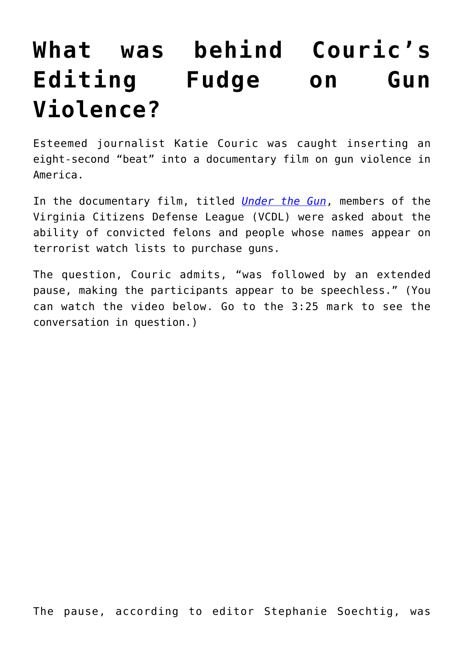## **[What was behind Couric's](https://intellectualtakeout.org/2016/06/what-was-behind-courics-editing-fudge-on-gun-violence/) [Editing Fudge on Gun](https://intellectualtakeout.org/2016/06/what-was-behind-courics-editing-fudge-on-gun-violence/) [Violence?](https://intellectualtakeout.org/2016/06/what-was-behind-courics-editing-fudge-on-gun-violence/)**

Esteemed journalist Katie Couric was caught inserting an eight-second "beat" into a documentary film on gun violence in America.

In the documentary film, titled *[Under the Gun](http://underthegunmovie.com/)*, members of the Virginia Citizens Defense League (VCDL) were asked about the ability of convicted felons and people whose names appear on terrorist watch lists to purchase guns.

The question, Couric admits, "was followed by an extended pause, making the participants appear to be speechless." (You can watch the video below. Go to the 3:25 mark to see the conversation in question.)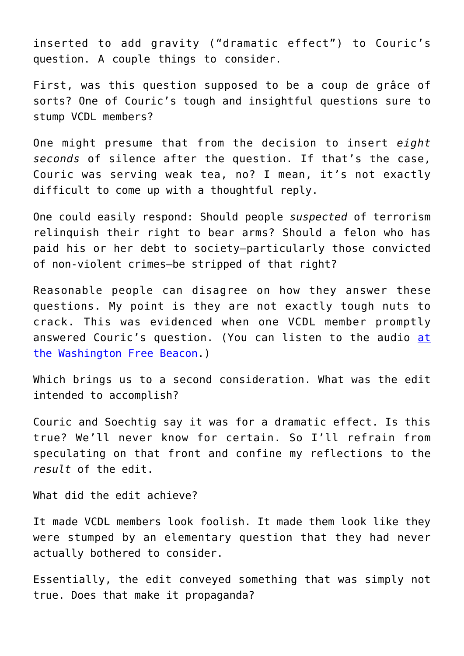inserted to add gravity ("dramatic effect") to Couric's question. A couple things to consider.

First, was this question supposed to be a coup de grâce of sorts? One of Couric's tough and insightful questions sure to stump VCDL members?

One might presume that from the decision to insert *eight seconds* of silence after the question. If that's the case, Couric was serving weak tea, no? I mean, it's not exactly difficult to come up with a thoughtful reply.

One could easily respond: Should people *suspected* of terrorism relinquish their right to bear arms? Should a felon who has paid his or her debt to society—particularly those convicted of non-violent crimes—be stripped of that right?

Reasonable people can disagree on how they answer these questions. My point is they are not exactly tough nuts to crack. This was evidenced when one VCDL member promptly answered Couric's question. (You can listen to the audio [at](http://freebeacon.com/issues/audio-shows-katie-couric-gun-documentary-deceptively-edited-interview-pro-gun-activists/) [the Washington Free Beacon.](http://freebeacon.com/issues/audio-shows-katie-couric-gun-documentary-deceptively-edited-interview-pro-gun-activists/))

Which brings us to a second consideration. What was the edit intended to accomplish?

Couric and Soechtig say it was for a dramatic effect. Is this true? We'll never know for certain. So I'll refrain from speculating on that front and confine my reflections to the *result* of the edit.

What did the edit achieve?

It made VCDL members look foolish. It made them look like they were stumped by an elementary question that they had never actually bothered to consider.

Essentially, the edit conveyed something that was simply not true. Does that make it propaganda?